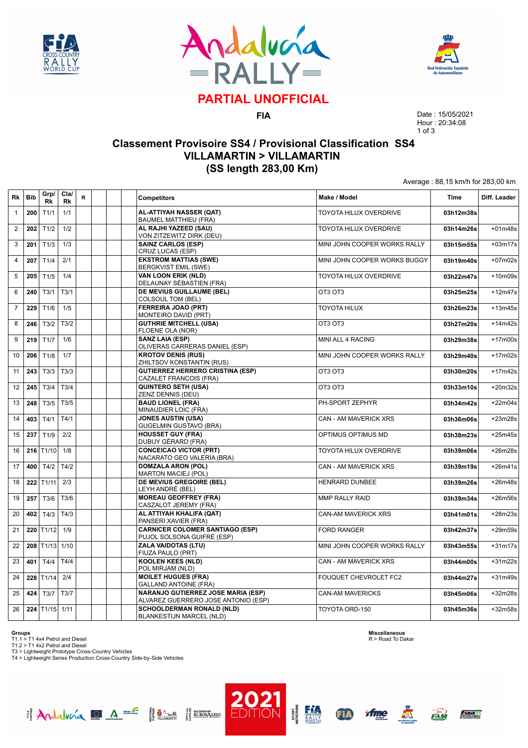





# **PARTIAL UNOFFICIAL**

**FIA**

Date : 15/05/2021 Hour : 20:34:08 1 of 3

Average : 88,15 km/h for 283,00 km

### **Classement Provisoire SS4 / Provisional Classification SS4 VILLAMARTIN > VILLAMARTIN (SS length 283,00 Km)**

| Rk             | <b>Bib</b> | Grp/<br>Rk              | Cla/<br>Rk | R | <b>Competitors</b>                                                               | Make / Model                  | <b>Time</b> | Diff. Leader |
|----------------|------------|-------------------------|------------|---|----------------------------------------------------------------------------------|-------------------------------|-------------|--------------|
| $\mathbf{1}$   | 200        | T1/1                    | 1/1        |   | AL-ATTIYAH NASSER (QAT)<br><b>BAUMEL MATTHIEU (FRA)</b>                          | TOYOTA HILUX OVERDRIVE        | 03h12m38s   |              |
| $\overline{2}$ | 202        | T1/2                    | 1/2        |   | AL RAJHI YAZEED (SAU)<br>VON ZITZEWITZ DIRK (DEU)                                | TOYOTA HILUX OVERDRIVE        | 03h14m26s   | $+01m48s$    |
| 3              | 201        | T1/3                    | 1/3        |   | <b>SAINZ CARLOS (ESP)</b><br>CRUZ LUCAS (ESP)                                    | MINI JOHN COOPER WORKS RALLY  | 03h15m55s   | $+03m17s$    |
| $\overline{4}$ | 207        | T1/4                    | 2/1        |   | <b>EKSTROM MATTIAS (SWE)</b><br><b>BERGKVIST EMIL (SWE)</b>                      | MINI JOHN COOPER WORKS BUGGY  | 03h19m40s   | $+07m02s$    |
| 5              | 205        | T1/5                    | 1/4        |   | <b>VAN LOON ERIK (NLD)</b><br>DELAUNAY SÉBASTIEN (FRA)                           | <b>TOYOTA HILUX OVERDRIVE</b> | 03h22m47s   | $+10m09s$    |
| 6              | 240        | T3/1                    | T3/1       |   | <b>DE MEVIUS GUILLAUME (BEL)</b><br><b>COLSOUL TOM (BEL)</b>                     | OT3 OT3                       | 03h25m25s   | $+12m47s$    |
| $\overline{7}$ | 229        | T1/6                    | 1/5        |   | <b>FERREIRA JOAO (PRT)</b><br>MONTEIRO DAVID (PRT)                               | <b>TOYOTA HILUX</b>           | 03h26m23s   | $+13m45s$    |
| 8              | 246        | T3/2                    | T3/2       |   | <b>GUTHRIE MITCHELL (USA)</b><br>FLOENE OLA (NOR)                                | OT3 OT3                       | 03h27m20s   | $+14m42s$    |
| 9              | 219        | T1/7                    | 1/6        |   | <b>SANZ LAIA (ESP)</b><br>OLIVERAS CARRERAS DANIEL (ESP)                         | <b>MINI ALL 4 RACING</b>      | 03h29m38s   | $+17m00s$    |
| 10             | 206        | T1/8                    | 1/7        |   | <b>KROTOV DENIS (RUS)</b><br>ZHILTSOV KONSTANTIN (RUS)                           | MINI JOHN COOPER WORKS RALLY  | 03h29m40s   | $+17m02s$    |
| 11             | 243        | T3/3                    | T3/3       |   | <b>GUTIERREZ HERRERO CRISTINA (ESP)</b><br>CAZALET FRANCOIS (FRA)                | OT3 OT3                       | 03h30m20s   | $+17m42s$    |
| 12             | 245        | T3/4                    | T3/4       |   | <b>QUINTERO SETH (USA)</b><br>ZENZ DENNIS (DEU)                                  | OT3 OT3                       | 03h33m10s   | $+20m32s$    |
| 13             | 248        | T3/5                    | T3/5       |   | <b>BAUD LIONEL (FRA)</b><br>MINAUDIER LOIC (FRA)                                 | PH-SPORT ZEPHYR               | 03h34m42s   | $+22m04s$    |
| 14             | 403        | T4/1                    | T4/1       |   | <b>JONES AUSTIN (USA)</b><br><b>GUGELMIN GUSTAVO (BRA)</b>                       | CAN - AM MAVERICK XRS         | 03h36m06s   | $+23m28s$    |
| 15             | 237        | T1/9                    | 2/2        |   | <b>HOUSSET GUY (FRA)</b><br>DUBUY GÉRARD (FRA)                                   | OPTIMUS OPTIMUS MD            | 03h38m23s   | $+25m45s$    |
| 16             |            | $216$ T1/10             | 1/8        |   | <b>CONCEICAO VICTOR (PRT)</b><br>NACARATO GEO VALERIA (BRA)                      | TOYOTA HILUX OVERDRIVE        | 03h39m06s   | +26m28s      |
| 17             | 400        | T4/2                    | T4/2       |   | <b>DOMZALA ARON (POL)</b><br><b>MARTON MACIEJ (POL)</b>                          | CAN - AM MAVERICK XRS         | 03h39m19s   | $+26m41s$    |
| 18             |            | $222$ T <sub>1/11</sub> | 2/3        |   | <b>DE MEVIUS GREGOIRE (BEL)</b><br>LEYH ANDRÉ (BEL)                              | <b>HENRARD DUNBEE</b>         | 03h39m26s   | $+26m48s$    |
| 19             | 257        | T3/6                    | T3/6       |   | <b>MOREAU GEOFFREY (FRA)</b><br>CASZALOT JEREMY (FRA)                            | <b>MMP RALLY RAID</b>         | 03h39m34s   | +26m56s      |
| 20             | 402        | T4/3                    | T4/3       |   | AL ATTIYAH KHALIFA (QAT)<br>PANSERI XAVIER (FRA)                                 | <b>CAN-AM MAVERICK XRS</b>    | 03h41m01s   | +28m23s      |
| 21             |            | $220$ T <sub>1/12</sub> | 1/9        |   | <b>CARNICER COLOMER SANTIAGO (ESP)</b><br>PUJOL SOLSONA GUIFRÉ (ESP)             | <b>FORD RANGER</b>            | 03h42m37s   | $+29m59s$    |
| 22             |            | 208 T1/13 1/10          |            |   | <b>ZALA VAIDOTAS (LTU)</b><br>FIUZA PAULO (PRT)                                  | MINI JOHN COOPER WORKS RALLY  | 03h43m55s   | $+31m17s$    |
| 23             | 401        | T4/4                    | T4/4       |   | <b>KOOLEN KEES (NLD)</b><br>POL MIRJAM (NLD)                                     | CAN - AM MAVERICK XRS         | 03h44m00s   | $+31m22s$    |
| 24             |            | $228$ T <sub>1/14</sub> | 2/4        |   | <b>MOILET HUGUES (FRA)</b><br><b>GALLAND ANTOINE (FRA)</b>                       | FOUQUET CHEVROLET FC2         | 03h44m27s   | $+31m49s$    |
| 25             | 424        | T3/7                    | T3/7       |   | <b>NARANJO GUTIERREZ JOSE MARIA (ESP)</b><br>ALVAREZ GUERRERO JOSE ANTONIO (ESP) | <b>CAN-AM MAVERICKS</b>       | 03h45m06s   | $+32m28s$    |
| 26             |            | 224 T1/15 1/11          |            |   | <b>SCHOOLDERMAN RONALD (NLD)</b><br><b>BLANKESTIJN MARCEL (NLD)</b>              | TOYOTA ORD-150                | 03h45m36s   | $+32m58s$    |

**Groups**<br>T1.1 > T1 4x4 Petrol and Diesel<br>T1.2 > T1 4x2 Petrol and Diesel<br>T3 > Lightweight Prototype Cross-Country Vehicles<br>T4 > Lightweight Series Production Cross-Country Side-by-Side Vehicles

Andalucía DA E Hima HEROSTERO

**Miscellaneous** R > Road To Dakar





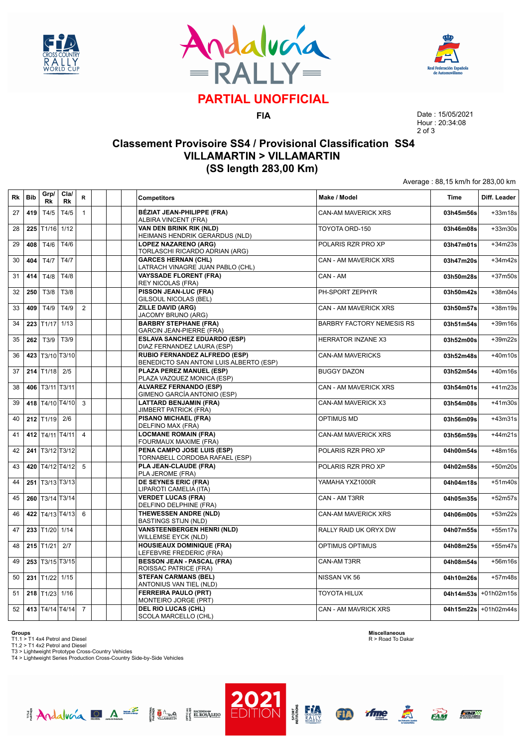





# **PARTIAL UNOFFICIAL**

**FIA**

Date : 15/05/2021 Hour : 20:34:08 2 of 3

Average : 88,15 km/h for 283,00 km

### **Classement Provisoire SS4 / Provisional Classification SS4 VILLAMARTIN > VILLAMARTIN (SS length 283,00 Km)**

| Rk | <b>Bib</b> | Grp/<br>Rk               | Cla/<br>Rk          | R              | <b>Competitors</b>                                                       | Make / Model                     | Time      | Diff. Leader |
|----|------------|--------------------------|---------------------|----------------|--------------------------------------------------------------------------|----------------------------------|-----------|--------------|
| 27 | 419        | T4/5                     | T4/5                | $\mathbf{1}$   | BÉZIAT JEAN-PHILIPPE (FRA)<br>ALBIRA VINCENT (FRA)                       | CAN-AM MAVERICK XRS              | 03h45m56s | $+33m18s$    |
| 28 | 225        | T1/16                    | 1/12                |                | <b>VAN DEN BRINK RIK (NLD)</b><br>HEIMANS HENDRIK GERARDUS (NLD)         | TOYOTA ORD-150                   | 03h46m08s | $+33m30s$    |
| 29 | 408        | T4/6                     | T4/6                |                | <b>LOPEZ NAZARENO (ARG)</b><br>TORLASCHI RICARDO ADRIAN (ARG)            | POLARIS RZR PRO XP               | 03h47m01s | $+34m23s$    |
| 30 | 404        | T4/7                     | T4/7                |                | <b>GARCES HERNAN (CHL)</b><br>LATRACH VINAGRE JUAN PABLO (CHL)           | CAN - AM MAVERICK XRS            | 03h47m20s | $+34m42s$    |
| 31 | 414        | T4/8                     | T4/8                |                | <b>VAYSSADE FLORENT (FRA)</b><br><b>REY NICOLAS (FRA)</b>                | CAN - AM                         | 03h50m28s | $+37m50s$    |
| 32 | 250        | T3/8                     | T3/8                |                | PISSON JEAN-LUC (FRA)<br>GILSOUL NICOLAS (BEL)                           | PH-SPORT ZEPHYR                  | 03h50m42s | $+38m04s$    |
| 33 | 409        | T4/9                     | T4/9                | $\overline{2}$ | <b>ZILLE DAVID (ARG)</b><br>JACOMY BRUNO (ARG)                           | <b>CAN - AM MAVERICK XRS</b>     | 03h50m57s | +38m19s      |
| 34 | 223        | T1/17                    | 1/13                |                | <b>BARBRY STEPHANE (FRA)</b><br><b>GARCIN JEAN-PIERRE (FRA)</b>          | <b>BARBRY FACTORY NEMESIS RS</b> | 03h51m54s | $+39m16s$    |
| 35 | 262        | T3/9                     | T3/9                |                | <b>ESLAVA SANCHEZ EDUARDO (ESP)</b><br>DIAZ FERNANDEZ LAURA (ESP)        | <b>HERRATOR INZANE X3</b>        | 03h52m00s | $+39m22s$    |
| 36 |            | 423 T3/10 T3/10          |                     |                | RUBIO FERNANDEZ ALFREDO (ESP)<br>BENEDICTO SAN ANTONI LUIS ALBERTO (ESP) | <b>CAN-AM MAVERICKS</b>          | 03h52m48s | $+40m10s$    |
| 37 |            | $214$ T <sub>1</sub> /18 | 2/5                 |                | PLAZA PEREZ MANUEL (ESP)<br>PLAZA VAZQUEZ MONICA (ESP)                   | <b>BUGGY DAZON</b>               | 03h52m54s | $+40m16s$    |
| 38 |            | 406   T3/11   T3/11      |                     |                | <b>ALVAREZ FERNANDO (ESP)</b><br>GIMENO GARCÍA ANTONIO (ESP)             | <b>CAN - AM MAVERICK XRS</b>     | 03h54m01s | $+41m23s$    |
| 39 |            |                          | 418   T4/10   T4/10 | 3              | <b>LATTARD BENJAMIN (FRA)</b><br><b>JIMBERT PATRICK (FRA)</b>            | CAN-AM MAVERICK X3               | 03h54m08s | $+41m30s$    |
| 40 |            | $212$ T <sub>1/19</sub>  | 2/6                 |                | <b>PISANO MICHAEL (FRA)</b><br>DELFINO MAX (FRA)                         | <b>OPTIMUS MD</b>                | 03h56m09s | $+43m31s$    |
| 41 |            | 412 T4/11 T4/11          |                     | $\overline{4}$ | <b>LOCMANE ROMAIN (FRA)</b><br>FOURMAUX MAXIME (FRA)                     | <b>CAN-AM MAVERICK XRS</b>       | 03h56m59s | $+44m21s$    |
| 42 | 241        |                          | T3/12 T3/12         |                | PENA CAMPO JOSE LUIS (ESP)<br>TORNABELL CORDOBA RAFAEL (ESP)             | POLARIS RZR PRO XP               | 04h00m54s | $+48m16s$    |
| 43 | 420        |                          | T4/12 T4/12         | 5              | PLA JEAN-CLAUDE (FRA)<br>PLA JEROME (FRA)                                | POLARIS RZR PRO XP               | 04h02m58s | $+50m20s$    |
| 44 | 251        | T3/13 T3/13              |                     |                | <b>DE SEYNES ERIC (FRA)</b><br>LIPAROTI CAMELIA (ITA)                    | YAMAHA YXZ1000R                  | 04h04m18s | $+51m40s$    |
| 45 | 260        |                          | T3/14 T3/14         |                | <b>VERDET LUCAS (FRA)</b><br>DELFINO DELPHINE (FRA)                      | CAN - AM T3RR                    | 04h05m35s | $+52m57s$    |
| 46 | 422        |                          | T4/13 T4/13         | 6              | THEWESSEN ANDRE (NLD)<br><b>BASTINGS STIJN (NLD)</b>                     | CAN-AM MAVERICK XRS              | 04h06m00s | $+53m22s$    |
| 47 |            | 233 T1/20 1/14           |                     |                | <b>VANSTEENBERGEN HENRI (NLD)</b><br><b>WILLEMSE EYCK (NLD)</b>          | RALLY RAID UK ORYX DW            | 04h07m55s | $+55m17s$    |
| 48 |            | $215$ T <sub>1</sub> /21 | 2/7                 |                | <b>HOUSIEAUX DOMINIQUE (FRA)</b><br>LEFEBVRE FREDERIC (FRA)              | <b>OPTIMUS OPTIMUS</b>           | 04h08m25s | $+55m47s$    |
| 49 |            |                          | 253 T3/15 T3/15     |                | <b>BESSON JEAN - PASCAL (FRA)</b><br>ROISSAC PATRICE (FRA)               | CAN-AM T3RR                      | 04h08m54s | $+56m16s$    |
| 50 | 231        | T1/22                    | 1/15                |                | <b>STEFAN CARMANS (BEL)</b><br>ANTONIUS VAN TIEL (NLD)                   | NISSAN VK 56                     | 04h10m26s | $+57m48s$    |
| 51 |            | 218 $T1/23$              | 1/16                |                | <b>FERREIRA PAULO (PRT)</b><br>MONTEIRO JORGE (PRT)                      | <b>TOYOTA HILUX</b>              | 04h14m53s | +01h02m15s   |
| 52 |            |                          | 413 T4/14 T4/14     | $\overline{7}$ | <b>DEL RIO LUCAS (CHL)</b><br>SCOLA MARCELLO (CHL)                       | CAN - AM MAVRICK XRS             | 04h15m22s | +01h02m44s   |

**Groups**<br>T1.1 > T1 4x4 Petrol and Diesel<br>T1.2 > T1 4x2 Petrol and Diesel<br>T3 > Lightweight Prototype Cross-Country Vehicles<br>T4 > Lightweight Series Production Cross-Country Side-by-Side Vehicles

Andalucía DA E Hima HEROSTERO

**Miscellaneous** R > Road To Dakar



**ED** 

**PORT** 

tfme





EAM